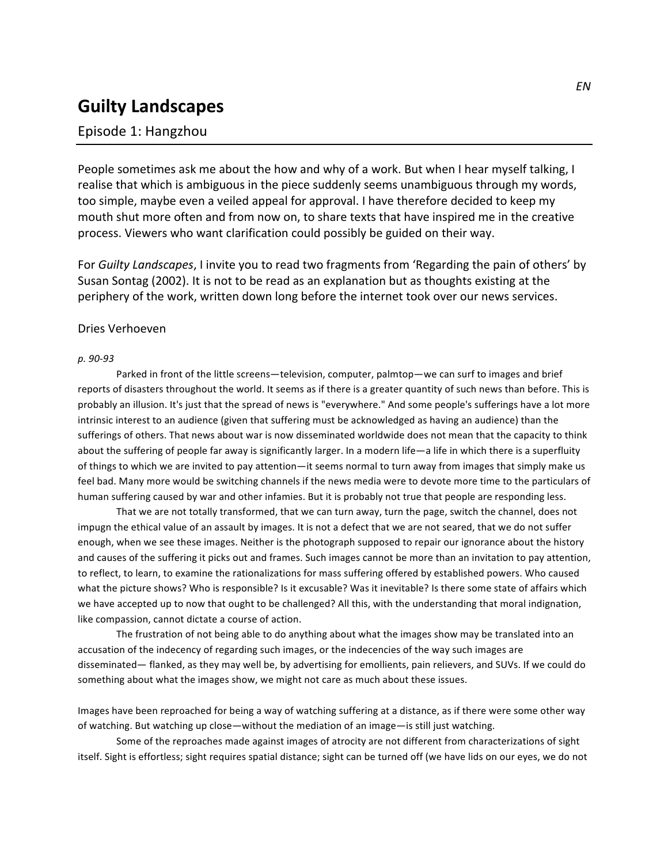# **Guilty Landscapes**

## Episode 1: Hangzhou

People sometimes ask me about the how and why of a work. But when I hear myself talking, I realise that which is ambiguous in the piece suddenly seems unambiguous through my words, too simple, maybe even a veiled appeal for approval. I have therefore decided to keep my mouth shut more often and from now on, to share texts that have inspired me in the creative process. Viewers who want clarification could possibly be guided on their way.

For *Guilty Landscapes*, I invite you to read two fragments from 'Regarding the pain of others' by Susan Sontag (2002). It is not to be read as an explanation but as thoughts existing at the periphery of the work, written down long before the internet took over our news services.

### Dries Verhoeven

#### *p. 90-93*

Parked in front of the little screens—television, computer, palmtop—we can surf to images and brief reports of disasters throughout the world. It seems as if there is a greater quantity of such news than before. This is probably an illusion. It's just that the spread of news is "everywhere." And some people's sufferings have a lot more intrinsic interest to an audience (given that suffering must be acknowledged as having an audience) than the sufferings of others. That news about war is now disseminated worldwide does not mean that the capacity to think about the suffering of people far away is significantly larger. In a modern life—a life in which there is a superfluity of things to which we are invited to pay attention—it seems normal to turn away from images that simply make us feel bad. Many more would be switching channels if the news media were to devote more time to the particulars of human suffering caused by war and other infamies. But it is probably not true that people are responding less.

That we are not totally transformed, that we can turn away, turn the page, switch the channel, does not impugn the ethical value of an assault by images. It is not a defect that we are not seared, that we do not suffer enough, when we see these images. Neither is the photograph supposed to repair our ignorance about the history and causes of the suffering it picks out and frames. Such images cannot be more than an invitation to pay attention, to reflect, to learn, to examine the rationalizations for mass suffering offered by established powers. Who caused what the picture shows? Who is responsible? Is it excusable? Was it inevitable? Is there some state of affairs which we have accepted up to now that ought to be challenged? All this, with the understanding that moral indignation, like compassion, cannot dictate a course of action.

The frustration of not being able to do anything about what the images show may be translated into an accusation of the indecency of regarding such images, or the indecencies of the way such images are disseminated— flanked, as they may well be, by advertising for emollients, pain relievers, and SUVs. If we could do something about what the images show, we might not care as much about these issues.

Images have been reproached for being a way of watching suffering at a distance, as if there were some other way of watching. But watching up close—without the mediation of an image—is still just watching.

Some of the reproaches made against images of atrocity are not different from characterizations of sight itself. Sight is effortless; sight requires spatial distance; sight can be turned off (we have lids on our eyes, we do not